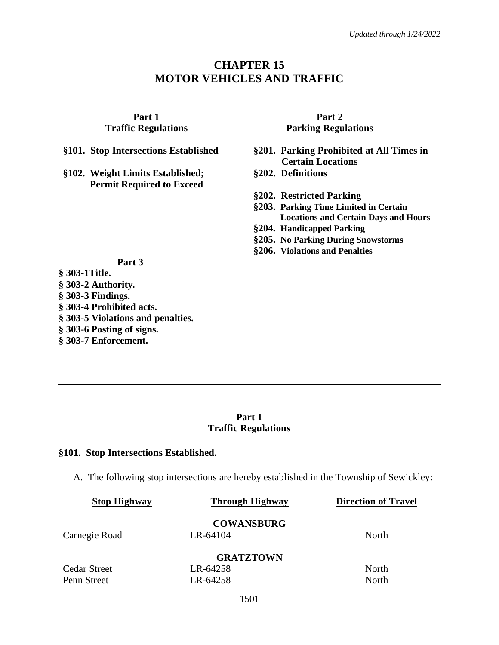# **CHAPTER 15 MOTOR VEHICLES AND TRAFFIC**

**Part 1 Traffic Regulations**

**§102. Weight Limits Established; Permit Required to Exceed**

**Part 2 Parking Regulations**

- **§101. Stop Intersections Established §201. Parking Prohibited at All Times in Certain Locations**
	- **§202. Definitions**
	- **§202. Restricted Parking**
	- **§203. Parking Time Limited in Certain Locations and Certain Days and Hours**
	- **§204. Handicapped Parking**
	- **§205. No Parking During Snowstorms**
	- **§206. Violations and Penalties**

#### **Part 3**

**§ [303-1Title.](https://ecode360.com/14827921#14827922) § 303-2 [Authority.](https://ecode360.com/14827921#14827923) § 303-3 [Findings.](https://ecode360.com/14827921#14827924) § [303-4 Prohibited acts.](https://ecode360.com/14827921#14827925) § [303-5 Violations and penalties.](https://ecode360.com/14827921#14827926) § 303-6 [Posting of signs.](https://ecode360.com/14827921#14827927) § [303-7 Enforcement.](https://ecode360.com/14827921#14827928)**

## **Part 1 Traffic Regulations**

#### **§101. Stop Intersections Established.**

A. The following stop intersections are hereby established in the Township of Sewickley:

| <b>Stop Highway</b> | <b>Through Highway</b> | <b>Direction of Travel</b> |  |
|---------------------|------------------------|----------------------------|--|
|                     | <b>COWANSBURG</b>      |                            |  |
| Carnegie Road       | LR-64104               | North                      |  |
|                     | <b>GRATZTOWN</b>       |                            |  |
| Cedar Street        | LR-64258               | North                      |  |
| Penn Street         | LR-64258               | North                      |  |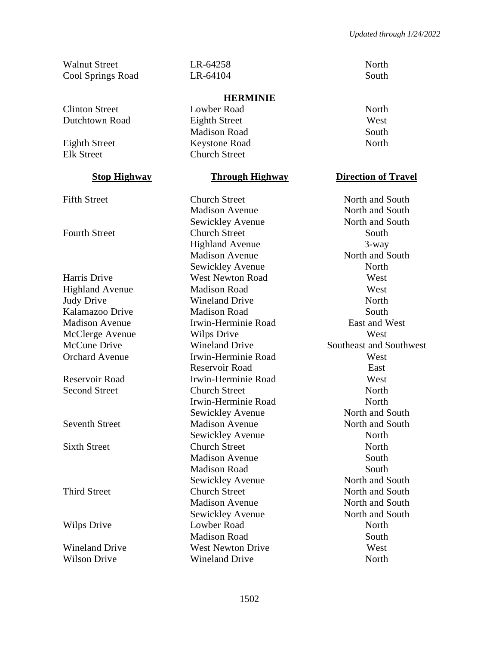Walnut Street **LR-64258** North Cool Springs Road LR-64104 South

Clinton Street Lowber Road North

#### **HERMINIE**

Dutchtown Road Eighth Street West Madison Road South Eighth Street Keystone Road North Elk Street Church Street

Fifth Street **Church Street** Church Street North and South Madison Avenue North and South Sewickley Avenue North and South Fourth Street Church Street South Highland Avenue 3-way Madison Avenue North and South Sewickley Avenue North Harris Drive West Newton Road West Highland Avenue Madison Road West Judy Drive Wineland Drive North Kalamazoo Drive Madison Road South Madison Avenue Irwin-Herminie Road East and West McClerge Avenue Wilps Drive West McCune Drive **Wineland Drive** Southeast and Southwest Orchard Avenue Irwin-Herminie Road West Reservoir Road East Reservoir Road Irwin-Herminie Road West Second Street Church Street North Irwin-Herminie Road North Sewickley Avenue North and South Seventh Street Madison Avenue North and South Sewickley Avenue North Sixth Street Church Street North Madison Avenue South Madison Road South Sewickley Avenue North and South Third Street Church Street North and South Madison Avenue North and South Sewickley Avenue North and South Wilps Drive **Lowber Road** North Madison Road South Wineland Drive West Newton Drive West Wilson Drive **Wineland Drive** North North

## **Stop Highway Through Highway Direction of Travel**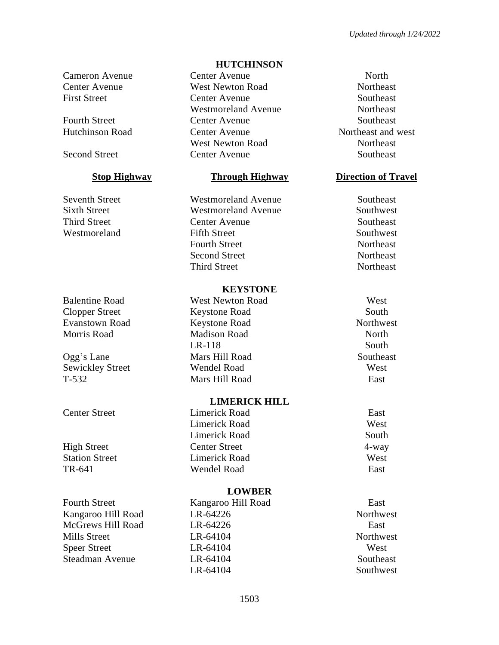Fourth Street Kangaroo Hill Road East

#### **HUTCHINSON**

Cameron Avenue Center Avenue North Center Avenue West Newton Road Northeast First Street Center Avenue Southeast Westmoreland Avenue Northeast Fourth Street Center Avenue Southeast Hutchinson Road Center Avenue Northeast and west West Newton Road Northeast Second Street Center Avenue Southeast

Seventh Street Westmoreland Avenue Southeast Sixth Street Westmoreland Avenue Southwest Third Street Center Avenue Southeast Westmoreland Fifth Street Southwest Fourth Street Northeast Second Street Northeast Third Street Northeast

#### **KEYSTONE**

Balentine Road West Newton Road West Clopper Street Keystone Road South Evanstown Road Keystone Road Northwest Morris Road Madison Road North North LR-118 South Ogg's Lane Mars Hill Road Southeast Sewickley Street Wendel Road West T-532 Mars Hill Road East

#### **LIMERICK HILL**

Center Street Limerick Road East Limerick Road West Limerick Road South High Street Center Street 4-way **Station Street Example 2.1 Limerick Road West West** TR-641 Wendel Road East

## **LOWBER**

Kangaroo Hill Road LR-64226 Northwest McGrews Hill Road LR-64226 East Mills Street **LR-64104** CHE-64104 Northwest Speer Street LR-64104 West Steadman Avenue LR-64104 Southeast LR-64104 Southwest

## **Stop Highway Through Highway Direction of Travel**

- -
-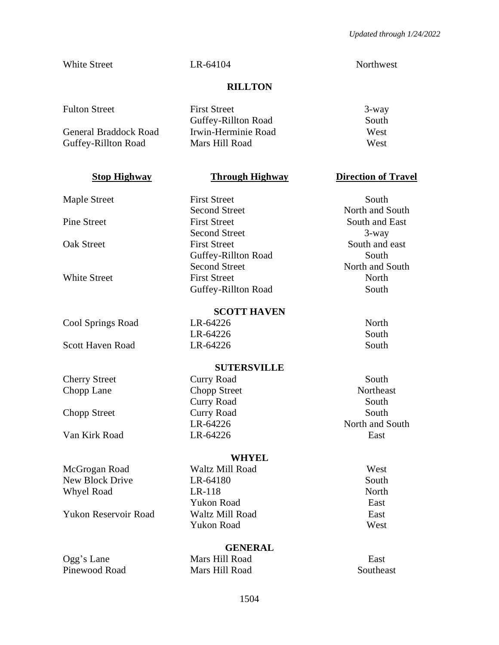White Street **LR-64104** CHE-64104 Northwest

## **RILLTON**

| <b>Fulton Street</b>  | <b>First Street</b> | $3$ -way |
|-----------------------|---------------------|----------|
|                       | Guffey-Rillton Road | South    |
| General Braddock Road | Irwin-Herminie Road | West     |
| Guffey-Rillton Road   | Mars Hill Road      | West     |
|                       |                     |          |

Cool Springs Road LR-64226 North

Scott Haven Road **LR-64226** South

Cherry Street Curry Road South Chopp Lane Chopp Street Northeast

Van Kirk Road LR-64226 East

McGrogan Road Waltz Mill Road West New Block Drive LR-64180 South Whyel Road LR-118 North

Yukon Reservoir Road Waltz Mill Road East

Maple Street First Street First Street South Second Street North and South Pine Street First Street First Street South and East Second Street 3-way Oak Street First Street South and east Guffey-Rillton Road South Second Street North and South White Street **First Street** Present Communications and North North North North North North North 1997 Guffey-Rillton Road South

#### **SCOTT HAVEN**

LR-64226 South

## **SUTERSVILLE**

Curry Road South Chopp Street Curry Road South

#### **WHYEL**

Yukon Road East Yukon Road West

## **GENERAL**

Ogg's Lane Mars Hill Road East Pinewood Road Mars Hill Road Southeast

## **Stop Highway Through Highway Direction of Travel**

LR-64226 North and South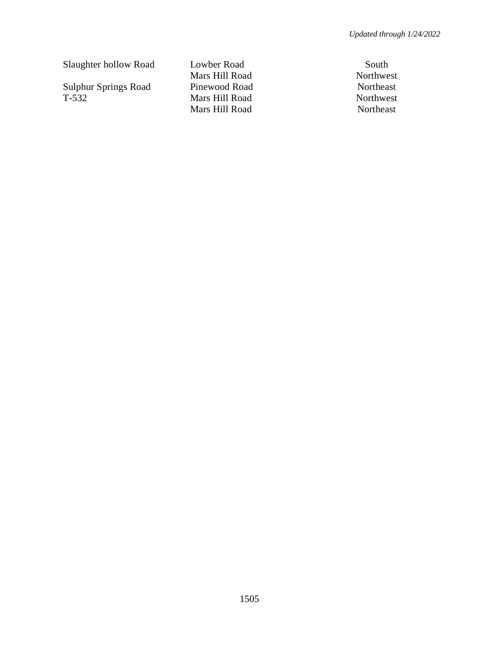Slaughter hollow Road Lowber Road South

Sulphur Springs Road Pinewood Road Northeast<br>T-532 Mars Hill Road Northwest

Mars Hill Road Northwest Mars Hill Road Northwest Mars Hill Road Northeast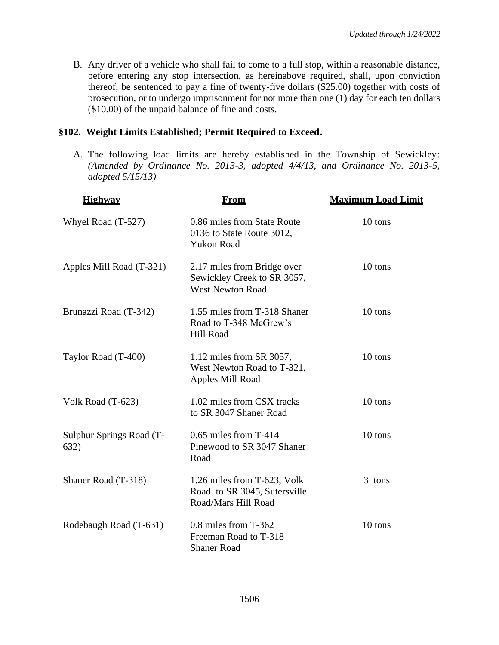B. Any driver of a vehicle who shall fail to come to a full stop, within a reasonable distance, before entering any stop intersection, as hereinabove required, shall, upon conviction thereof, be sentenced to pay a fine of twenty-five dollars (\$25.00) together with costs of prosecution, or to undergo imprisonment for not more than one (1) day for each ten dollars (\$10.00) of the unpaid balance of fine and costs.

## **§102. Weight Limits Established; Permit Required to Exceed.**

A. The following load limits are hereby established in the Township of Sewickley: *(Amended by Ordinance No. 2013-3, adopted 4/4/13, and Ordinance No. 2013-5, adopted 5/15/13)*

| <b>Highway</b>                   | <u>From</u>                                                                           | <b>Maximum Load Limit</b> |
|----------------------------------|---------------------------------------------------------------------------------------|---------------------------|
| Whyel Road (T-527)               | 0.86 miles from State Route<br>0136 to State Route 3012,<br><b>Yukon Road</b>         | 10 tons                   |
| Apples Mill Road (T-321)         | 2.17 miles from Bridge over<br>Sewickley Creek to SR 3057,<br><b>West Newton Road</b> | 10 tons                   |
| Brunazzi Road (T-342)            | 1.55 miles from T-318 Shaner<br>Road to T-348 McGrew's<br>Hill Road                   | 10 tons                   |
| Taylor Road (T-400)              | 1.12 miles from SR 3057,<br>West Newton Road to T-321,<br>Apples Mill Road            | 10 tons                   |
| Volk Road (T-623)                | 1.02 miles from CSX tracks<br>to SR 3047 Shaner Road                                  | 10 tons                   |
| Sulphur Springs Road (T-<br>632) | $0.65$ miles from T-414<br>Pinewood to SR 3047 Shaner<br>Road                         | 10 tons                   |
| Shaner Road (T-318)              | 1.26 miles from T-623, Volk<br>Road to SR 3045, Sutersville<br>Road/Mars Hill Road    | 3 tons                    |
| Rodebaugh Road (T-631)           | 0.8 miles from T-362<br>Freeman Road to T-318<br><b>Shaner Road</b>                   | 10 tons                   |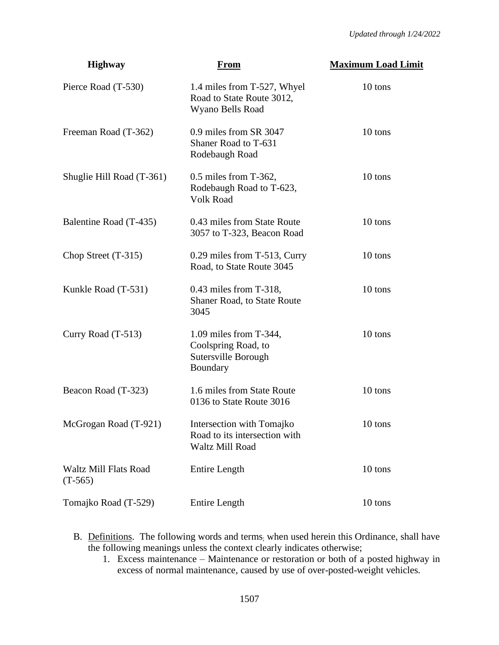| <b>Highway</b>                            | <b>From</b>                                                                      | <b>Maximum Load Limit</b> |
|-------------------------------------------|----------------------------------------------------------------------------------|---------------------------|
| Pierce Road (T-530)                       | 1.4 miles from T-527, Whyel<br>Road to State Route 3012,<br>Wyano Bells Road     | 10 tons                   |
| Freeman Road (T-362)                      | 0.9 miles from SR 3047<br>Shaner Road to T-631<br>Rodebaugh Road                 | 10 tons                   |
| Shuglie Hill Road (T-361)                 | $0.5$ miles from T-362,<br>Rodebaugh Road to T-623,<br>Volk Road                 | 10 tons                   |
| Balentine Road (T-435)                    | 0.43 miles from State Route<br>3057 to T-323, Beacon Road                        | 10 tons                   |
| Chop Street $(T-315)$                     | 0.29 miles from T-513, Curry<br>Road, to State Route 3045                        | 10 tons                   |
| Kunkle Road (T-531)                       | $0.43$ miles from T-318,<br><b>Shaner Road, to State Route</b><br>3045           | 10 tons                   |
| Curry Road $(T-513)$                      | 1.09 miles from T-344,<br>Coolspring Road, to<br>Sutersville Borough<br>Boundary | 10 tons                   |
| Beacon Road (T-323)                       | 1.6 miles from State Route<br>0136 to State Route 3016                           | 10 tons                   |
| McGrogan Road (T-921)                     | Intersection with Tomajko<br>Road to its intersection with<br>Waltz Mill Road    | 10 tons                   |
| <b>Waltz Mill Flats Road</b><br>$(T-565)$ | Entire Length                                                                    | 10 tons                   |
| Tomajko Road (T-529)                      | Entire Length                                                                    | $10$ tons $\,$            |

- B. Definitions. The following words and terms; when used herein this Ordinance, shall have the following meanings unless the context clearly indicates otherwise;
	- 1. Excess maintenance Maintenance or restoration or both of a posted highway in excess of normal maintenance, caused by use of over-posted-weight vehicles.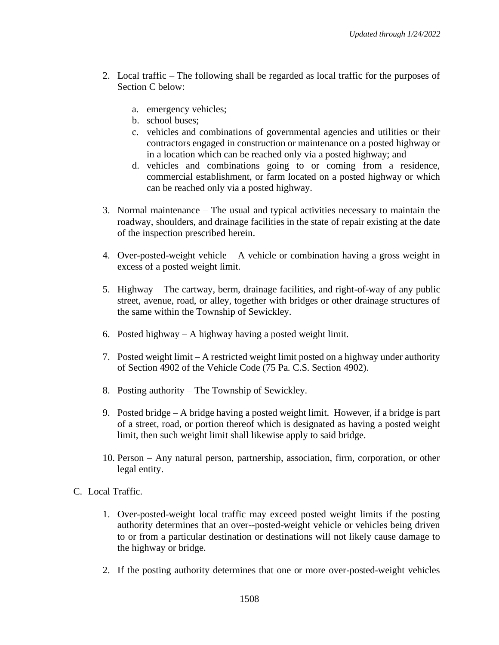- 2. Local traffic The following shall be regarded as local traffic for the purposes of Section C below:
	- a. emergency vehicles;
	- b. school buses;
	- c. vehicles and combinations of governmental agencies and utilities or their contractors engaged in construction or maintenance on a posted highway or in a location which can be reached only via a posted highway; and
	- d. vehicles and combinations going to or coming from a residence, commercial establishment, or farm located on a posted highway or which can be reached only via a posted highway.
- 3. Normal maintenance The usual and typical activities necessary to maintain the roadway, shoulders, and drainage facilities in the state of repair existing at the date of the inspection prescribed herein.
- 4. Over-posted-weight vehicle A vehicle or combination having a gross weight in excess of a posted weight limit.
- 5. Highway The cartway, berm, drainage facilities, and right-of-way of any public street, avenue, road, or alley, together with bridges or other drainage structures of the same within the Township of Sewickley.
- 6. Posted highway A highway having a posted weight limit.
- 7. Posted weight limit A restricted weight limit posted on a highway under authority of Section 4902 of the Vehicle Code (75 Pa. C.S. Section 4902).
- 8. Posting authority The Township of Sewickley.
- 9. Posted bridge A bridge having a posted weight limit. However, if a bridge is part of a street, road, or portion thereof which is designated as having a posted weight limit, then such weight limit shall likewise apply to said bridge.
- 10. Person Any natural person, partnership, association, firm, corporation, or other legal entity.

## C. Local Traffic.

- 1. Over-posted-weight local traffic may exceed posted weight limits if the posting authority determines that an over--posted-weight vehicle or vehicles being driven to or from a particular destination or destinations will not likely cause damage to the highway or bridge.
- 2. If the posting authority determines that one or more over-posted-weight vehicles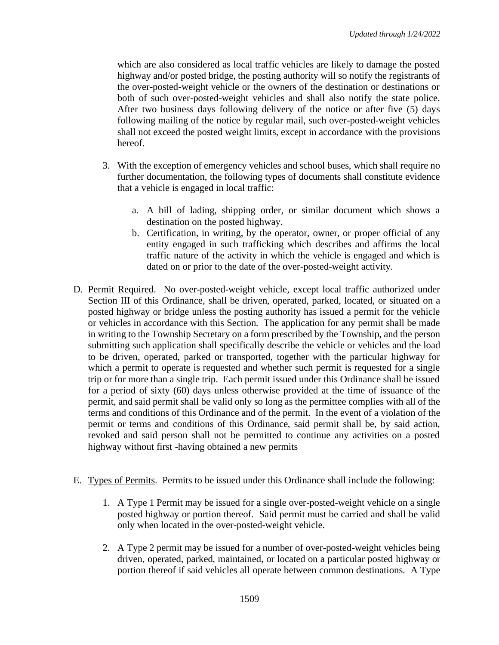which are also considered as local traffic vehicles are likely to damage the posted highway and/or posted bridge, the posting authority will so notify the registrants of the over-posted-weight vehicle or the owners of the destination or destinations or both of such over-posted-weight vehicles and shall also notify the state police. After two business days following delivery of the notice or after five (5) days following mailing of the notice by regular mail, such over-posted-weight vehicles shall not exceed the posted weight limits, except in accordance with the provisions hereof.

- 3. With the exception of emergency vehicles and school buses, which shall require no further documentation, the following types of documents shall constitute evidence that a vehicle is engaged in local traffic:
	- a. A bill of lading, shipping order, or similar document which shows a destination on the posted highway.
	- b. Certification, in writing, by the operator, owner, or proper official of any entity engaged in such trafficking which describes and affirms the local traffic nature of the activity in which the vehicle is engaged and which is dated on or prior to the date of the over-posted-weight activity.
- D. Permit Required. No over-posted-weight vehicle, except local traffic authorized under Section III of this Ordinance, shall be driven, operated, parked, located, or situated on a posted highway or bridge unless the posting authority has issued a permit for the vehicle or vehicles in accordance with this Section. The application for any permit shall be made in writing to the Township Secretary on a form prescribed by the Township, and the person submitting such application shall specifically describe the vehicle or vehicles and the load to be driven, operated, parked or transported, together with the particular highway for which a permit to operate is requested and whether such permit is requested for a single trip or for more than a single trip. Each permit issued under this Ordinance shall be issued for a period of sixty (60) days unless otherwise provided at the time of issuance of the permit, and said permit shall be valid only so long as the permittee complies with all of the terms and conditions of this Ordinance and of the permit. In the event of a violation of the permit or terms and conditions of this Ordinance, said permit shall be, by said action, revoked and said person shall not be permitted to continue any activities on a posted highway without first -having obtained a new permits
- E. Types of Permits. Permits to be issued under this Ordinance shall include the following:
	- 1. A Type 1 Permit may be issued for a single over-posted-weight vehicle on a single posted highway or portion thereof. Said permit must be carried and shall be valid only when located in the over-posted-weight vehicle.
	- 2. A Type 2 permit may be issued for a number of over-posted-weight vehicles being driven, operated, parked, maintained, or located on a particular posted highway or portion thereof if said vehicles all operate between common destinations. A Type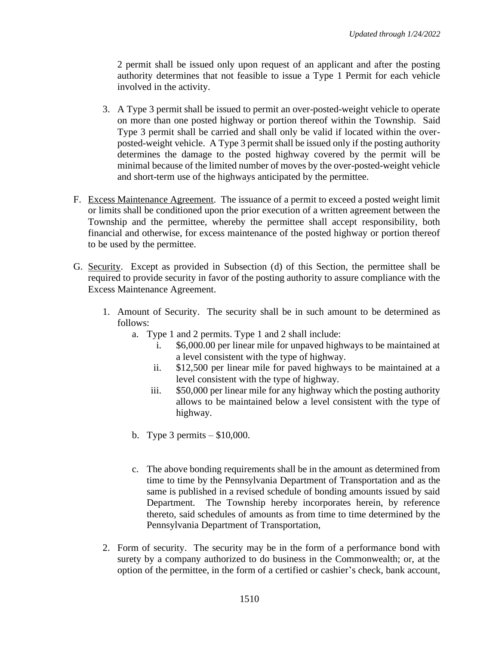2 permit shall be issued only upon request of an applicant and after the posting authority determines that not feasible to issue a Type 1 Permit for each vehicle involved in the activity.

- 3. A Type 3 permit shall be issued to permit an over-posted-weight vehicle to operate on more than one posted highway or portion thereof within the Township. Said Type 3 permit shall be carried and shall only be valid if located within the overposted-weight vehicle. A Type 3 permit shall be issued only if the posting authority determines the damage to the posted highway covered by the permit will be minimal because of the limited number of moves by the over-posted-weight vehicle and short-term use of the highways anticipated by the permittee.
- F. Excess Maintenance Agreement. The issuance of a permit to exceed a posted weight limit or limits shall be conditioned upon the prior execution of a written agreement between the Township and the permittee, whereby the permittee shall accept responsibility, both financial and otherwise, for excess maintenance of the posted highway or portion thereof to be used by the permittee.
- G. Security. Except as provided in Subsection (d) of this Section, the permittee shall be required to provide security in favor of the posting authority to assure compliance with the Excess Maintenance Agreement.
	- 1. Amount of Security. The security shall be in such amount to be determined as follows:
		- a. Type 1 and 2 permits. Type 1 and 2 shall include:
			- i. \$6,000.00 per linear mile for unpaved highways to be maintained at a level consistent with the type of highway.
			- ii. \$12,500 per linear mile for paved highways to be maintained at a level consistent with the type of highway.
			- iii. \$50,000 per linear mile for any highway which the posting authority allows to be maintained below a level consistent with the type of highway.
		- b. Type 3 permits \$10,000.
		- c. The above bonding requirements shall be in the amount as determined from time to time by the Pennsylvania Department of Transportation and as the same is published in a revised schedule of bonding amounts issued by said Department. The Township hereby incorporates herein, by reference thereto, said schedules of amounts as from time to time determined by the Pennsylvania Department of Transportation,
	- 2. Form of security. The security may be in the form of a performance bond with surety by a company authorized to do business in the Commonwealth; or, at the option of the permittee, in the form of a certified or cashier's check, bank account,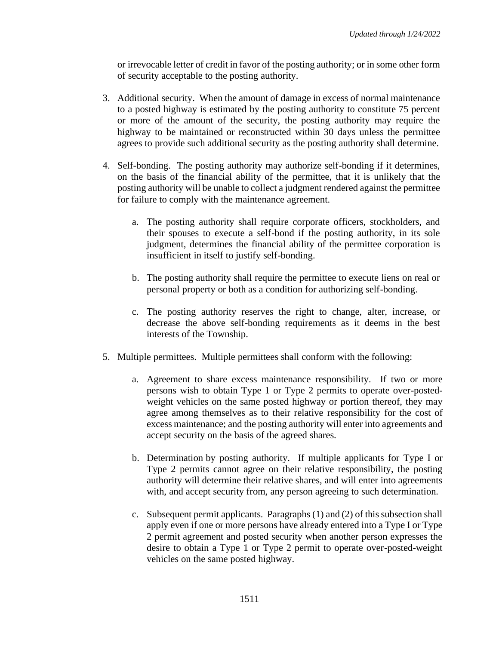or irrevocable letter of credit in favor of the posting authority; or in some other form of security acceptable to the posting authority.

- 3. Additional security. When the amount of damage in excess of normal maintenance to a posted highway is estimated by the posting authority to constitute 75 percent or more of the amount of the security, the posting authority may require the highway to be maintained or reconstructed within 30 days unless the permittee agrees to provide such additional security as the posting authority shall determine.
- 4. Self-bonding. The posting authority may authorize self-bonding if it determines, on the basis of the financial ability of the permittee, that it is unlikely that the posting authority will be unable to collect a judgment rendered against the permittee for failure to comply with the maintenance agreement.
	- a. The posting authority shall require corporate officers, stockholders, and their spouses to execute a self-bond if the posting authority, in its sole judgment, determines the financial ability of the permittee corporation is insufficient in itself to justify self-bonding.
	- b. The posting authority shall require the permittee to execute liens on real or personal property or both as a condition for authorizing self-bonding.
	- c. The posting authority reserves the right to change, alter, increase, or decrease the above self-bonding requirements as it deems in the best interests of the Township.
- 5. Multiple permittees. Multiple permittees shall conform with the following:
	- a. Agreement to share excess maintenance responsibility. If two or more persons wish to obtain Type 1 or Type 2 permits to operate over-postedweight vehicles on the same posted highway or portion thereof, they may agree among themselves as to their relative responsibility for the cost of excess maintenance; and the posting authority will enter into agreements and accept security on the basis of the agreed shares.
	- b. Determination by posting authority. If multiple applicants for Type I or Type 2 permits cannot agree on their relative responsibility, the posting authority will determine their relative shares, and will enter into agreements with, and accept security from, any person agreeing to such determination.
	- c. Subsequent permit applicants. Paragraphs (1) and (2) of this subsection shall apply even if one or more persons have already entered into a Type I or Type 2 permit agreement and posted security when another person expresses the desire to obtain a Type 1 or Type 2 permit to operate over-posted-weight vehicles on the same posted highway.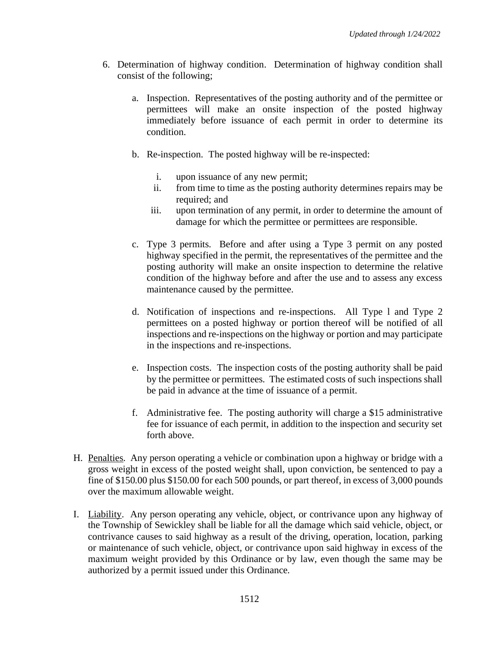- 6. Determination of highway condition. Determination of highway condition shall consist of the following;
	- a. Inspection. Representatives of the posting authority and of the permittee or permittees will make an onsite inspection of the posted highway immediately before issuance of each permit in order to determine its condition.
	- b. Re-inspection. The posted highway will be re-inspected:
		- i. upon issuance of any new permit;
		- ii. from time to time as the posting authority determines repairs may be required; and
		- iii. upon termination of any permit, in order to determine the amount of damage for which the permittee or permittees are responsible.
	- c. Type 3 permits. Before and after using a Type 3 permit on any posted highway specified in the permit, the representatives of the permittee and the posting authority will make an onsite inspection to determine the relative condition of the highway before and after the use and to assess any excess maintenance caused by the permittee.
	- d. Notification of inspections and re-inspections. All Type l and Type 2 permittees on a posted highway or portion thereof will be notified of all inspections and re-inspections on the highway or portion and may participate in the inspections and re-inspections.
	- e. Inspection costs. The inspection costs of the posting authority shall be paid by the permittee or permittees. The estimated costs of such inspections shall be paid in advance at the time of issuance of a permit.
	- f. Administrative fee. The posting authority will charge a \$15 administrative fee for issuance of each permit, in addition to the inspection and security set forth above.
- H. Penalties. Any person operating a vehicle or combination upon a highway or bridge with a gross weight in excess of the posted weight shall, upon conviction, be sentenced to pay a fine of \$150.00 plus \$150.00 for each 500 pounds, or part thereof, in excess of 3,000 pounds over the maximum allowable weight.
- I. Liability. Any person operating any vehicle, object, or contrivance upon any highway of the Township of Sewickley shall be liable for all the damage which said vehicle, object, or contrivance causes to said highway as a result of the driving, operation, location, parking or maintenance of such vehicle, object, or contrivance upon said highway in excess of the maximum weight provided by this Ordinance or by law, even though the same may be authorized by a permit issued under this Ordinance.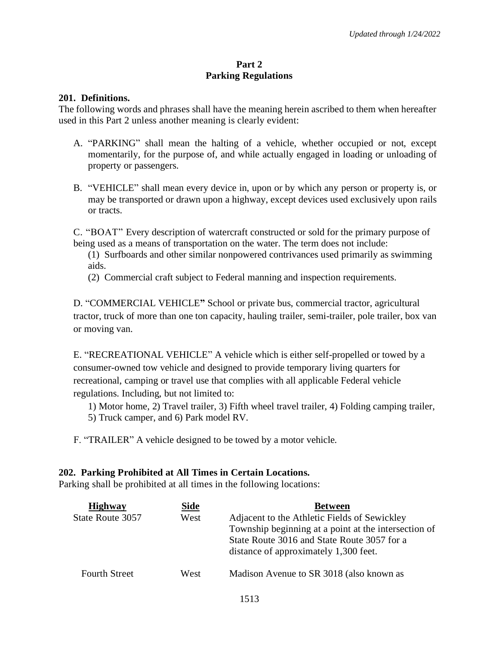## **Part 2 Parking Regulations**

## **201. Definitions.**

The following words and phrases shall have the meaning herein ascribed to them when hereafter used in this Part 2 unless another meaning is clearly evident:

- A. "PARKING" shall mean the halting of a vehicle, whether occupied or not, except momentarily, for the purpose of, and while actually engaged in loading or unloading of property or passengers.
- B. "VEHICLE" shall mean every device in, upon or by which any person or property is, or may be transported or drawn upon a highway, except devices used exclusively upon rails or tracts.

C. "BOAT" Every description of watercraft constructed or sold for the primary purpose of being used as a means of transportation on the water. The term does not include:

- (1) Surfboards and other similar nonpowered contrivances used primarily as swimming aids.
- (2) Commercial craft subject to Federal manning and inspection requirements.

D. "COMMERCIAL VEHICLE**"** School or private bus, commercial tractor, agricultural tractor, truck of more than one ton capacity, hauling trailer, semi-trailer, pole trailer, box van or moving van.

E. "RECREATIONAL VEHICLE" A vehicle which is either self-propelled or towed by a consumer-owned tow vehicle and designed to provide temporary living quarters for recreational, camping or travel use that complies with all applicable Federal vehicle regulations. Including, but not limited to:

1) Motor home, 2) Travel trailer, 3) Fifth wheel travel trailer, 4) Folding camping trailer, 5) Truck camper, and 6) Park model RV.

F. "TRAILER" A vehicle designed to be towed by a motor vehicle.

## **202. Parking Prohibited at All Times in Certain Locations.**

Parking shall be prohibited at all times in the following locations:

| <b>Highway</b>       | Side | <b>Between</b>                                                                                                                                                                               |
|----------------------|------|----------------------------------------------------------------------------------------------------------------------------------------------------------------------------------------------|
| State Route 3057     | West | Adjacent to the Athletic Fields of Sewickley<br>Township beginning at a point at the intersection of<br>State Route 3016 and State Route 3057 for a<br>distance of approximately 1,300 feet. |
| <b>Fourth Street</b> | West | Madison Avenue to SR 3018 (also known as                                                                                                                                                     |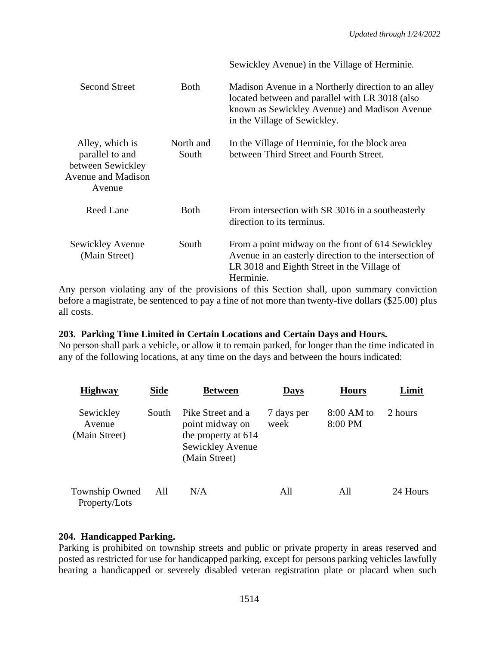|                                                                                                |                    | Sewickley Avenue) in the Village of Herminie.                                                                                                                                           |
|------------------------------------------------------------------------------------------------|--------------------|-----------------------------------------------------------------------------------------------------------------------------------------------------------------------------------------|
| Second Street                                                                                  | <b>Both</b>        | Madison Avenue in a Northerly direction to an alley<br>located between and parallel with LR 3018 (also<br>known as Sewickley Avenue) and Madison Avenue<br>in the Village of Sewickley. |
| Alley, which is<br>parallel to and<br>between Sewickley<br><b>Avenue and Madison</b><br>Avenue | North and<br>South | In the Village of Herminie, for the block area<br>between Third Street and Fourth Street.                                                                                               |
| Reed Lane                                                                                      | <b>Both</b>        | From intersection with SR 3016 in a southeasterly<br>direction to its terminus.                                                                                                         |
| Sewickley Avenue<br>(Main Street)                                                              | South              | From a point midway on the front of 614 Sewickley<br>Avenue in an easterly direction to the intersection of<br>LR 3018 and Eighth Street in the Village of<br>Herminie.                 |

Any person violating any of the provisions of this Section shall, upon summary conviction before a magistrate, be sentenced to pay a fine of not more than twenty-five dollars (\$25.00) plus all costs.

## **203. Parking Time Limited in Certain Locations and Certain Days and Hours.**

No person shall park a vehicle, or allow it to remain parked, for longer than the time indicated in any of the following locations, at any time on the days and between the hours indicated:

| <b>Highway</b>                       | <b>Side</b> | <b>Between</b>                                                                                   | <b>Days</b>        | <b>Hours</b>            | Limit    |
|--------------------------------------|-------------|--------------------------------------------------------------------------------------------------|--------------------|-------------------------|----------|
| Sewickley<br>Avenue<br>(Main Street) | South       | Pike Street and a<br>point midway on<br>the property at 614<br>Sewickley Avenue<br>(Main Street) | 7 days per<br>week | $8:00 AM$ to<br>8:00 PM | 2 hours  |
| Township Owned<br>Property/Lots      | All         | N/A                                                                                              | All                | All                     | 24 Hours |

## **204. Handicapped Parking.**

Parking is prohibited on township streets and public or private property in areas reserved and posted as restricted for use for handicapped parking, except for persons parking vehicles lawfully bearing a handicapped or severely disabled veteran registration plate or placard when such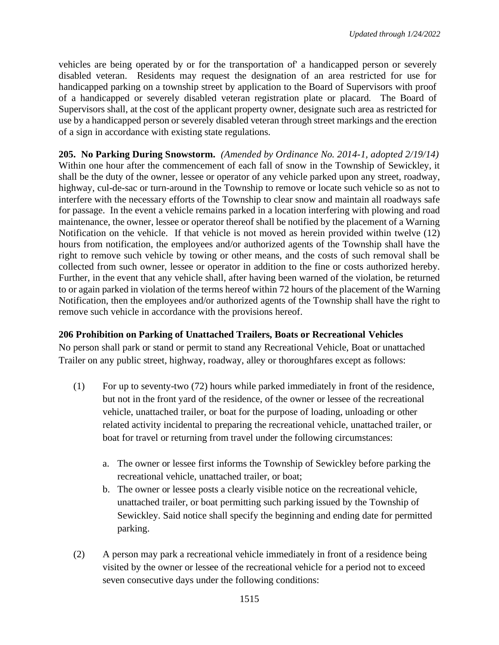vehicles are being operated by or for the transportation of' a handicapped person or severely disabled veteran. Residents may request the designation of an area restricted for use for handicapped parking on a township street by application to the Board of Supervisors with proof of a handicapped or severely disabled veteran registration plate or placard. The Board of Supervisors shall, at the cost of the applicant property owner, designate such area as restricted for use by a handicapped person or severely disabled veteran through street markings and the erection of a sign in accordance with existing state regulations.

**205. No Parking During Snowstorm.** *(Amended by Ordinance No. 2014-1, adopted 2/19/14)* Within one hour after the commencement of each fall of snow in the Township of Sewickley, it shall be the duty of the owner, lessee or operator of any vehicle parked upon any street, roadway, highway, cul-de-sac or turn-around in the Township to remove or locate such vehicle so as not to interfere with the necessary efforts of the Township to clear snow and maintain all roadways safe for passage. In the event a vehicle remains parked in a location interfering with plowing and road maintenance, the owner, lessee or operator thereof shall be notified by the placement of a Warning Notification on the vehicle. If that vehicle is not moved as herein provided within twelve (12) hours from notification, the employees and/or authorized agents of the Township shall have the right to remove such vehicle by towing or other means, and the costs of such removal shall be collected from such owner, lessee or operator in addition to the fine or costs authorized hereby. Further, in the event that any vehicle shall, after having been warned of the violation, be returned to or again parked in violation of the terms hereof within 72 hours of the placement of the Warning Notification, then the employees and/or authorized agents of the Township shall have the right to remove such vehicle in accordance with the provisions hereof.

## **206 Prohibition on Parking of Unattached Trailers, Boats or Recreational Vehicles**

No person shall park or stand or permit to stand any Recreational Vehicle, Boat or unattached Trailer on any public street, highway, roadway, alley or thoroughfares except as follows:

- (1) For up to seventy-two (72) hours while parked immediately in front of the residence, but not in the front yard of the residence, of the owner or lessee of the recreational vehicle, unattached trailer, or boat for the purpose of loading, unloading or other related activity incidental to preparing the recreational vehicle, unattached trailer, or boat for travel or returning from travel under the following circumstances:
	- a. The owner or lessee first informs the Township of Sewickley before parking the recreational vehicle, unattached trailer, or boat;
	- b. The owner or lessee posts a clearly visible notice on the recreational vehicle, unattached trailer, or boat permitting such parking issued by the Township of Sewickley. Said notice shall specify the beginning and ending date for permitted parking.
- (2) A person may park a recreational vehicle immediately in front of a residence being visited by the owner or lessee of the recreational vehicle for a period not to exceed seven consecutive days under the following conditions: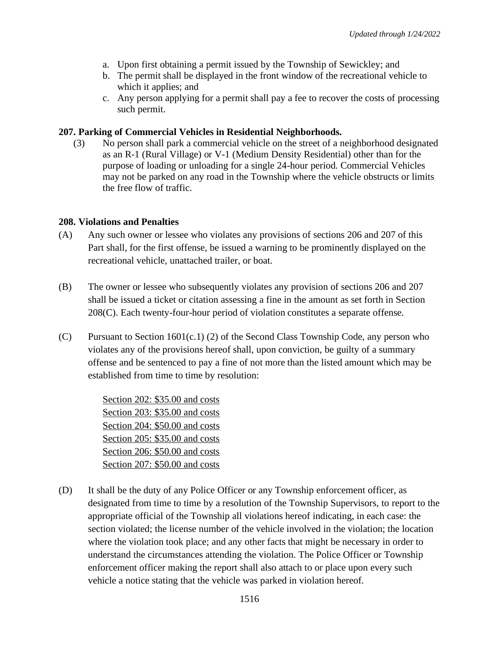- a. Upon first obtaining a permit issued by the Township of Sewickley; and
- b. The permit shall be displayed in the front window of the recreational vehicle to which it applies; and
- c. Any person applying for a permit shall pay a fee to recover the costs of processing such permit.

## **207. Parking of Commercial Vehicles in Residential Neighborhoods.**

(3) No person shall park a commercial vehicle on the street of a neighborhood designated as an R-1 (Rural Village) or V-1 (Medium Density Residential) other than for the purpose of loading or unloading for a single 24-hour period. Commercial Vehicles may not be parked on any road in the Township where the vehicle obstructs or limits the free flow of traffic.

## **208. Violations and Penalties**

- (A) Any such owner or lessee who violates any provisions of sections 206 and 207 of this Part shall, for the first offense, be issued a warning to be prominently displayed on the recreational vehicle, unattached trailer, or boat.
- (B) The owner or lessee who subsequently violates any provision of sections 206 and 207 shall be issued a ticket or citation assessing a fine in the amount as set forth in Section 208(C). Each twenty-four-hour period of violation constitutes a separate offense.
- (C) Pursuant to Section  $1601(c.1)$  (2) of the Second Class Township Code, any person who violates any of the provisions hereof shall, upon conviction, be guilty of a summary offense and be sentenced to pay a fine of not more than the listed amount which may be established from time to time by resolution:

Section 202: \$35.00 and costs Section 203: \$35.00 and costs Section 204: \$50.00 and costs Section 205: \$35.00 and costs Section 206: \$50.00 and costs Section 207: \$50.00 and costs

(D) It shall be the duty of any Police Officer or any Township enforcement officer, as designated from time to time by a resolution of the Township Supervisors, to report to the appropriate official of the Township all violations hereof indicating, in each case: the section violated; the license number of the vehicle involved in the violation; the location where the violation took place; and any other facts that might be necessary in order to understand the circumstances attending the violation. The Police Officer or Township enforcement officer making the report shall also attach to or place upon every such vehicle a notice stating that the vehicle was parked in violation hereof.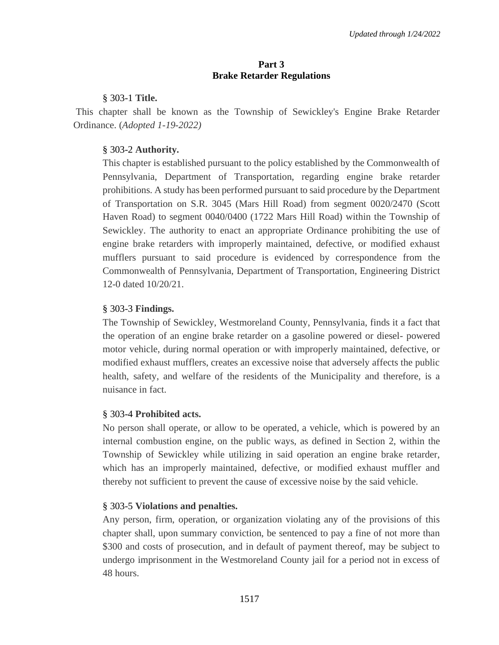## **Part 3 Brake Retarder Regulations**

## § [303-1](https://ecode360.com/14827921#14827922) **Title.**

This chapter shall be known as the Township of Sewickley's Engine Brake Retarder Ordinance. (*Adopted 1-19-2022)*

# § 303-2 **[Authority.](https://ecode360.com/14827921#14827923)**

This chapter is established pursuant to the policy established by the Commonwealth of Pennsylvania, Department of Transportation, regarding engine brake retarder prohibitions. A study has been performed pursuant to said procedure by the Department of Transportation on S.R. 3045 (Mars Hill Road) from segment 0020/2470 (Scott Haven Road) to segment 0040/0400 (1722 Mars Hill Road) within the Township of Sewickley. The authority to enact an appropriate Ordinance prohibiting the use of engine brake retarders with improperly maintained, defective, or modified exhaust mufflers pursuant to said procedure is evidenced by correspondence from the Commonwealth of Pennsylvania, Department of Transportation, Engineering District 12-0 dated 10/20/21.

# § 303-3 **[Findings.](https://ecode360.com/14827921#14827924)**

The Township of Sewickley, Westmoreland County, Pennsylvania, finds it a fact that the operation of an engine brake retarder on a gasoline powered or diesel- powered motor vehicle, during normal operation or with improperly maintained, defective, or modified exhaust mufflers, creates an excessive noise that adversely affects the public health, safety, and welfare of the residents of the Municipality and therefore, is a nuisance in fact.

# § 303-4 **[Prohibited acts.](https://ecode360.com/14827921#14827925)**

No person shall operate, or allow to be operated, a vehicle, which is powered by an internal combustion engine, on the public ways, as defined in Section 2, within the Township of Sewickley while utilizing in said operation an engine brake retarder, which has an improperly maintained, defective, or modified exhaust muffler and thereby not sufficient to prevent the cause of excessive noise by the said vehicle.

# § 303-5 **[Violations and penalties.](https://ecode360.com/14827921#14827926)**

Any person, firm, operation, or organization violating any of the provisions of this chapter shall, upon summary conviction, be sentenced to pay a fine of not more than \$300 and costs of prosecution, and in default of payment thereof, may be subject to undergo imprisonment in the Westmoreland County jail for a period not in excess of 48 hours.